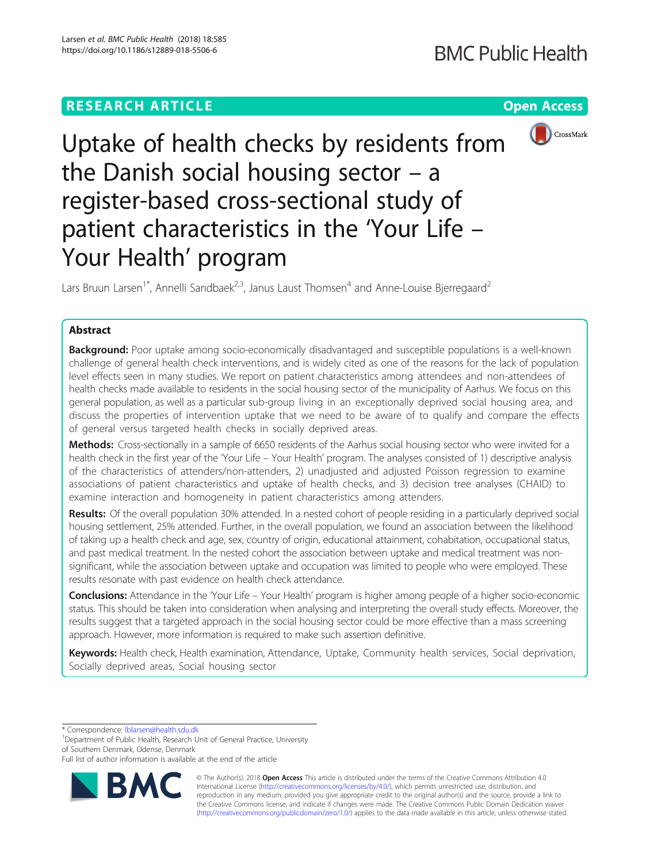

Uptake of health checks by residents from the Danish social housing sector – a register-based cross-sectional study of patient characteristics in the 'Your Life – Your Health' program

Lars Bruun Larsen<sup>1\*</sup>, Annelli Sandbaek<sup>2,3</sup>, Janus Laust Thomsen<sup>4</sup> and Anne-Louise Bierregaard<sup>2</sup>

# Abstract

Background: Poor uptake among socio-economically disadvantaged and susceptible populations is a well-known challenge of general health check interventions, and is widely cited as one of the reasons for the lack of population level effects seen in many studies. We report on patient characteristics among attendees and non-attendees of health checks made available to residents in the social housing sector of the municipality of Aarhus. We focus on this general population, as well as a particular sub-group living in an exceptionally deprived social housing area, and discuss the properties of intervention uptake that we need to be aware of to qualify and compare the effects of general versus targeted health checks in socially deprived areas.

Methods: Cross-sectionally in a sample of 6650 residents of the Aarhus social housing sector who were invited for a health check in the first year of the 'Your Life – Your Health' program. The analyses consisted of 1) descriptive analysis of the characteristics of attenders/non-attenders, 2) unadjusted and adjusted Poisson regression to examine associations of patient characteristics and uptake of health checks, and 3) decision tree analyses (CHAID) to examine interaction and homogeneity in patient characteristics among attenders.

Results: Of the overall population 30% attended. In a nested cohort of people residing in a particularly deprived social housing settlement, 25% attended. Further, in the overall population, we found an association between the likelihood of taking up a health check and age, sex, country of origin, educational attainment, cohabitation, occupational status, and past medical treatment. In the nested cohort the association between uptake and medical treatment was nonsignificant, while the association between uptake and occupation was limited to people who were employed. These results resonate with past evidence on health check attendance.

Conclusions: Attendance in the 'Your Life – Your Health' program is higher among people of a higher socio-economic status. This should be taken into consideration when analysing and interpreting the overall study effects. Moreover, the results suggest that a targeted approach in the social housing sector could be more effective than a mass screening approach. However, more information is required to make such assertion definitive.

Keywords: Health check, Health examination, Attendance, Uptake, Community health services, Social deprivation, Socially deprived areas, Social housing sector

\* Correspondence: [lblarsen@health.sdu.dk](mailto:lblarsen@health.sdu.dk) <sup>1</sup>

<sup>1</sup>Department of Public Health, Research Unit of General Practice, University of Southern Denmark, Odense, Denmark

Full list of author information is available at the end of the article



© The Author(s). 2018 Open Access This article is distributed under the terms of the Creative Commons Attribution 4.0 International License [\(http://creativecommons.org/licenses/by/4.0/](http://creativecommons.org/licenses/by/4.0/)), which permits unrestricted use, distribution, and reproduction in any medium, provided you give appropriate credit to the original author(s) and the source, provide a link to the Creative Commons license, and indicate if changes were made. The Creative Commons Public Domain Dedication waiver [\(http://creativecommons.org/publicdomain/zero/1.0/](http://creativecommons.org/publicdomain/zero/1.0/)) applies to the data made available in this article, unless otherwise stated.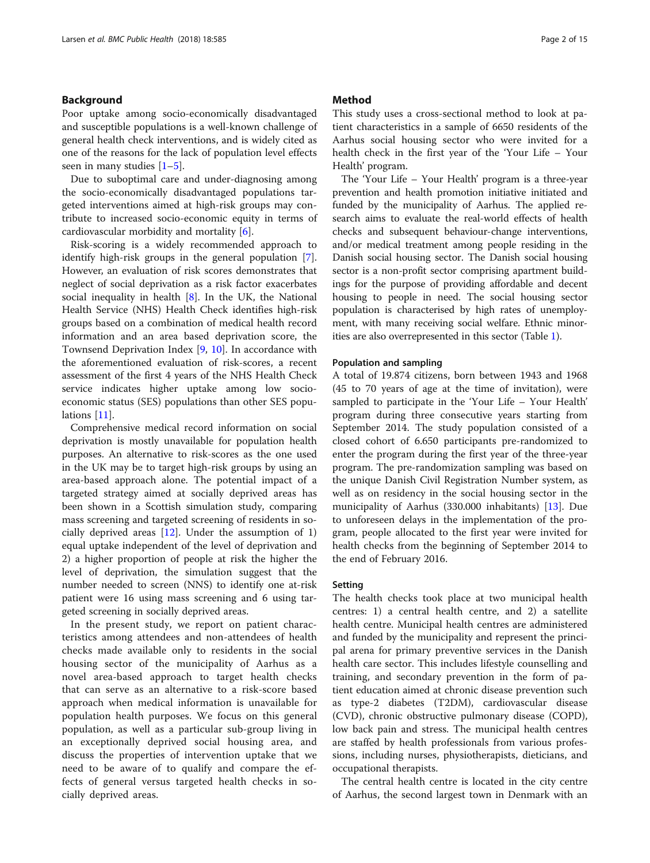# Background

Poor uptake among socio-economically disadvantaged and susceptible populations is a well-known challenge of general health check interventions, and is widely cited as one of the reasons for the lack of population level effects seen in many studies  $[1-5]$  $[1-5]$  $[1-5]$ .

Due to suboptimal care and under-diagnosing among the socio-economically disadvantaged populations targeted interventions aimed at high-risk groups may contribute to increased socio-economic equity in terms of cardiovascular morbidity and mortality [\[6](#page-13-0)].

Risk-scoring is a widely recommended approach to identify high-risk groups in the general population [\[7](#page-13-0)]. However, an evaluation of risk scores demonstrates that neglect of social deprivation as a risk factor exacerbates social inequality in health [\[8](#page-13-0)]. In the UK, the National Health Service (NHS) Health Check identifies high-risk groups based on a combination of medical health record information and an area based deprivation score, the Townsend Deprivation Index [\[9](#page-13-0), [10](#page-13-0)]. In accordance with the aforementioned evaluation of risk-scores, a recent assessment of the first 4 years of the NHS Health Check service indicates higher uptake among low socioeconomic status (SES) populations than other SES populations [[11\]](#page-13-0).

Comprehensive medical record information on social deprivation is mostly unavailable for population health purposes. An alternative to risk-scores as the one used in the UK may be to target high-risk groups by using an area-based approach alone. The potential impact of a targeted strategy aimed at socially deprived areas has been shown in a Scottish simulation study, comparing mass screening and targeted screening of residents in socially deprived areas [[12](#page-13-0)]. Under the assumption of 1) equal uptake independent of the level of deprivation and 2) a higher proportion of people at risk the higher the level of deprivation, the simulation suggest that the number needed to screen (NNS) to identify one at-risk patient were 16 using mass screening and 6 using targeted screening in socially deprived areas.

In the present study, we report on patient characteristics among attendees and non-attendees of health checks made available only to residents in the social housing sector of the municipality of Aarhus as a novel area-based approach to target health checks that can serve as an alternative to a risk-score based approach when medical information is unavailable for population health purposes. We focus on this general population, as well as a particular sub-group living in an exceptionally deprived social housing area, and discuss the properties of intervention uptake that we need to be aware of to qualify and compare the effects of general versus targeted health checks in socially deprived areas.

## Method

This study uses a cross-sectional method to look at patient characteristics in a sample of 6650 residents of the Aarhus social housing sector who were invited for a health check in the first year of the 'Your Life – Your Health' program.

The 'Your Life – Your Health' program is a three-year prevention and health promotion initiative initiated and funded by the municipality of Aarhus. The applied research aims to evaluate the real-world effects of health checks and subsequent behaviour-change interventions, and/or medical treatment among people residing in the Danish social housing sector. The Danish social housing sector is a non-profit sector comprising apartment buildings for the purpose of providing affordable and decent housing to people in need. The social housing sector population is characterised by high rates of unemployment, with many receiving social welfare. Ethnic minorities are also overrepresented in this sector (Table [1\)](#page-2-0).

# Population and sampling

A total of 19.874 citizens, born between 1943 and 1968 (45 to 70 years of age at the time of invitation), were sampled to participate in the 'Your Life – Your Health' program during three consecutive years starting from September 2014. The study population consisted of a closed cohort of 6.650 participants pre-randomized to enter the program during the first year of the three-year program. The pre-randomization sampling was based on the unique Danish Civil Registration Number system, as well as on residency in the social housing sector in the municipality of Aarhus (330.000 inhabitants) [[13\]](#page-13-0). Due to unforeseen delays in the implementation of the program, people allocated to the first year were invited for health checks from the beginning of September 2014 to the end of February 2016.

## Setting

The health checks took place at two municipal health centres: 1) a central health centre, and 2) a satellite health centre. Municipal health centres are administered and funded by the municipality and represent the principal arena for primary preventive services in the Danish health care sector. This includes lifestyle counselling and training, and secondary prevention in the form of patient education aimed at chronic disease prevention such as type-2 diabetes (T2DM), cardiovascular disease (CVD), chronic obstructive pulmonary disease (COPD), low back pain and stress. The municipal health centres are staffed by health professionals from various professions, including nurses, physiotherapists, dieticians, and occupational therapists.

The central health centre is located in the city centre of Aarhus, the second largest town in Denmark with an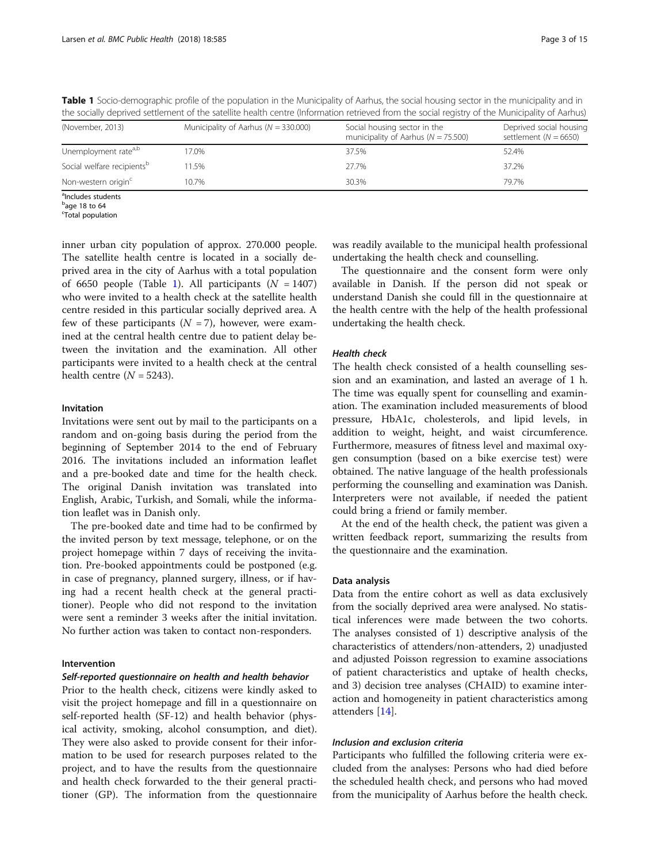| (November, 2013)                       | Municipality of Aarhus ( $N = 330.000$ ) | Social housing sector in the<br>municipality of Aarhus ( $N = 75.500$ ) | Deprived social housing<br>settlement ( $N = 6650$ ) |
|----------------------------------------|------------------------------------------|-------------------------------------------------------------------------|------------------------------------------------------|
| Unemployment rate <sup>a,b</sup>       | 17.0%                                    | 37.5%                                                                   | 52.4%                                                |
| Social welfare recipients <sup>b</sup> | 11.5%                                    | 27.7%                                                                   | 37.2%                                                |
| Non-western origin <sup>c</sup>        | 10.7%                                    | 30.3%                                                                   | 79.7%                                                |

<span id="page-2-0"></span>Table 1 Socio-demographic profile of the population in the Municipality of Aarhus, the social housing sector in the municipality and in the socially deprived settlement of the satellite health centre (Information retrieved from the social registry of the Municipality of Aarhus)

<sup>a</sup>Includes students

<sup>b</sup>age 18 to 64

<sup>c</sup>Total population

inner urban city population of approx. 270.000 people. The satellite health centre is located in a socially deprived area in the city of Aarhus with a total population of 6650 people (Table 1). All participants  $(N = 1407)$ who were invited to a health check at the satellite health centre resided in this particular socially deprived area. A few of these participants  $(N = 7)$ , however, were examined at the central health centre due to patient delay between the invitation and the examination. All other participants were invited to a health check at the central health centre  $(N = 5243)$ .

## Invitation

Invitations were sent out by mail to the participants on a random and on-going basis during the period from the beginning of September 2014 to the end of February 2016. The invitations included an information leaflet and a pre-booked date and time for the health check. The original Danish invitation was translated into English, Arabic, Turkish, and Somali, while the information leaflet was in Danish only.

The pre-booked date and time had to be confirmed by the invited person by text message, telephone, or on the project homepage within 7 days of receiving the invitation. Pre-booked appointments could be postponed (e.g. in case of pregnancy, planned surgery, illness, or if having had a recent health check at the general practitioner). People who did not respond to the invitation were sent a reminder 3 weeks after the initial invitation. No further action was taken to contact non-responders.

# Intervention

# Self-reported questionnaire on health and health behavior

Prior to the health check, citizens were kindly asked to visit the project homepage and fill in a questionnaire on self-reported health (SF-12) and health behavior (physical activity, smoking, alcohol consumption, and diet). They were also asked to provide consent for their information to be used for research purposes related to the project, and to have the results from the questionnaire and health check forwarded to the their general practitioner (GP). The information from the questionnaire

was readily available to the municipal health professional undertaking the health check and counselling.

The questionnaire and the consent form were only available in Danish. If the person did not speak or understand Danish she could fill in the questionnaire at the health centre with the help of the health professional undertaking the health check.

# Health check

The health check consisted of a health counselling session and an examination, and lasted an average of 1 h. The time was equally spent for counselling and examination. The examination included measurements of blood pressure, HbA1c, cholesterols, and lipid levels, in addition to weight, height, and waist circumference. Furthermore, measures of fitness level and maximal oxygen consumption (based on a bike exercise test) were obtained. The native language of the health professionals performing the counselling and examination was Danish. Interpreters were not available, if needed the patient could bring a friend or family member.

At the end of the health check, the patient was given a written feedback report, summarizing the results from the questionnaire and the examination.

## Data analysis

Data from the entire cohort as well as data exclusively from the socially deprived area were analysed. No statistical inferences were made between the two cohorts. The analyses consisted of 1) descriptive analysis of the characteristics of attenders/non-attenders, 2) unadjusted and adjusted Poisson regression to examine associations of patient characteristics and uptake of health checks, and 3) decision tree analyses (CHAID) to examine interaction and homogeneity in patient characteristics among attenders [\[14](#page-13-0)].

# Inclusion and exclusion criteria

Participants who fulfilled the following criteria were excluded from the analyses: Persons who had died before the scheduled health check, and persons who had moved from the municipality of Aarhus before the health check.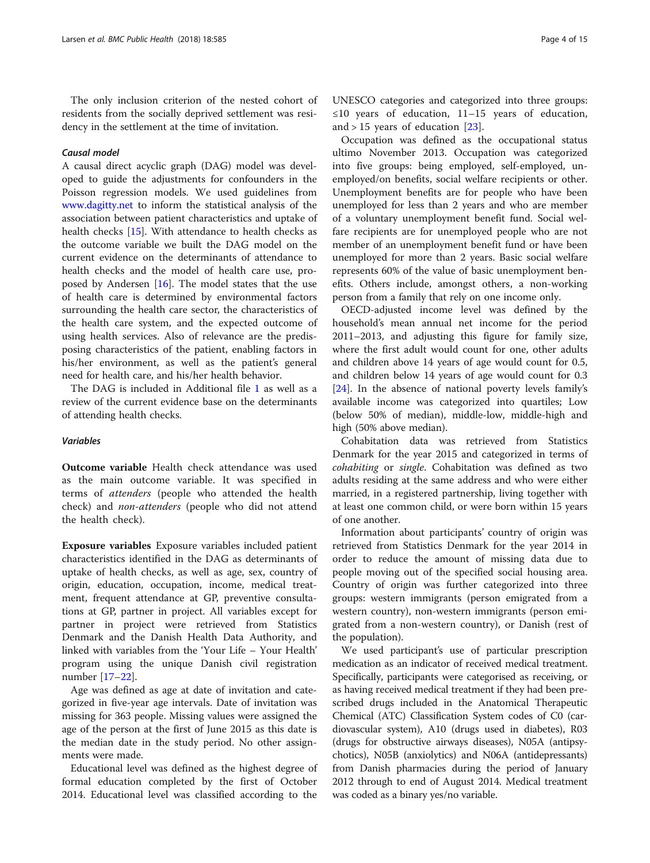The only inclusion criterion of the nested cohort of residents from the socially deprived settlement was residency in the settlement at the time of invitation.

# Causal model

A causal direct acyclic graph (DAG) model was developed to guide the adjustments for confounders in the Poisson regression models. We used guidelines from [www.dagitty.net](http://www.dagitty.net) to inform the statistical analysis of the association between patient characteristics and uptake of health checks [[15](#page-13-0)]. With attendance to health checks as the outcome variable we built the DAG model on the current evidence on the determinants of attendance to health checks and the model of health care use, proposed by Andersen  $[16]$  $[16]$ . The model states that the use of health care is determined by environmental factors surrounding the health care sector, the characteristics of the health care system, and the expected outcome of using health services. Also of relevance are the predisposing characteristics of the patient, enabling factors in his/her environment, as well as the patient's general need for health care, and his/her health behavior.

The DAG is included in Additional file [1](#page-12-0) as well as a review of the current evidence base on the determinants of attending health checks.

## Variables

Outcome variable Health check attendance was used as the main outcome variable. It was specified in terms of attenders (people who attended the health check) and non-attenders (people who did not attend the health check).

Exposure variables Exposure variables included patient characteristics identified in the DAG as determinants of uptake of health checks, as well as age, sex, country of origin, education, occupation, income, medical treatment, frequent attendance at GP, preventive consultations at GP, partner in project. All variables except for partner in project were retrieved from Statistics Denmark and the Danish Health Data Authority, and linked with variables from the 'Your Life – Your Health' program using the unique Danish civil registration number [[17](#page-13-0)–[22](#page-13-0)].

Age was defined as age at date of invitation and categorized in five-year age intervals. Date of invitation was missing for 363 people. Missing values were assigned the age of the person at the first of June 2015 as this date is the median date in the study period. No other assignments were made.

Educational level was defined as the highest degree of formal education completed by the first of October 2014. Educational level was classified according to the UNESCO categories and categorized into three groups: ≤10 years of education, 11–15 years of education, and > 15 years of education [\[23](#page-13-0)].

Occupation was defined as the occupational status ultimo November 2013. Occupation was categorized into five groups: being employed, self-employed, unemployed/on benefits, social welfare recipients or other. Unemployment benefits are for people who have been unemployed for less than 2 years and who are member of a voluntary unemployment benefit fund. Social welfare recipients are for unemployed people who are not member of an unemployment benefit fund or have been unemployed for more than 2 years. Basic social welfare represents 60% of the value of basic unemployment benefits. Others include, amongst others, a non-working person from a family that rely on one income only.

OECD-adjusted income level was defined by the household's mean annual net income for the period 2011–2013, and adjusting this figure for family size, where the first adult would count for one, other adults and children above 14 years of age would count for 0.5, and children below 14 years of age would count for 0.3 [[24\]](#page-13-0). In the absence of national poverty levels family's available income was categorized into quartiles; Low (below 50% of median), middle-low, middle-high and high (50% above median).

Cohabitation data was retrieved from Statistics Denmark for the year 2015 and categorized in terms of cohabiting or single. Cohabitation was defined as two adults residing at the same address and who were either married, in a registered partnership, living together with at least one common child, or were born within 15 years of one another.

Information about participants' country of origin was retrieved from Statistics Denmark for the year 2014 in order to reduce the amount of missing data due to people moving out of the specified social housing area. Country of origin was further categorized into three groups: western immigrants (person emigrated from a western country), non-western immigrants (person emigrated from a non-western country), or Danish (rest of the population).

We used participant's use of particular prescription medication as an indicator of received medical treatment. Specifically, participants were categorised as receiving, or as having received medical treatment if they had been prescribed drugs included in the Anatomical Therapeutic Chemical (ATC) Classification System codes of C0 (cardiovascular system), A10 (drugs used in diabetes), R03 (drugs for obstructive airways diseases), N05A (antipsychotics), N05B (anxiolytics) and N06A (antidepressants) from Danish pharmacies during the period of January 2012 through to end of August 2014. Medical treatment was coded as a binary yes/no variable.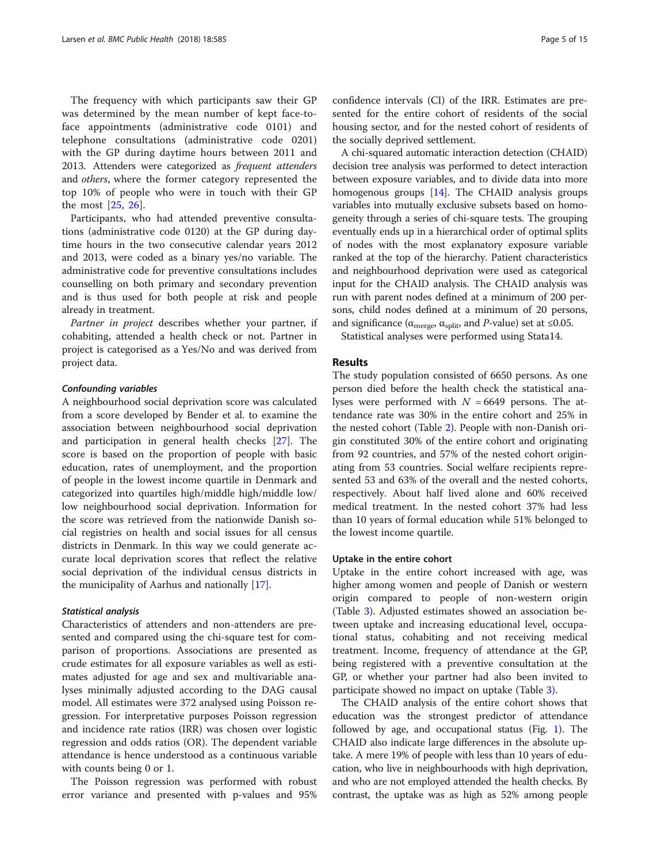The frequency with which participants saw their GP was determined by the mean number of kept face-toface appointments (administrative code 0101) and telephone consultations (administrative code 0201) with the GP during daytime hours between 2011 and 2013. Attenders were categorized as frequent attenders and others, where the former category represented the top 10% of people who were in touch with their GP the most [[25,](#page-13-0) [26\]](#page-13-0).

Participants, who had attended preventive consultations (administrative code 0120) at the GP during daytime hours in the two consecutive calendar years 2012 and 2013, were coded as a binary yes/no variable. The administrative code for preventive consultations includes counselling on both primary and secondary prevention and is thus used for both people at risk and people already in treatment.

Partner in project describes whether your partner, if cohabiting, attended a health check or not. Partner in project is categorised as a Yes/No and was derived from project data.

## Confounding variables

A neighbourhood social deprivation score was calculated from a score developed by Bender et al. to examine the association between neighbourhood social deprivation and participation in general health checks [\[27\]](#page-13-0). The score is based on the proportion of people with basic education, rates of unemployment, and the proportion of people in the lowest income quartile in Denmark and categorized into quartiles high/middle high/middle low/ low neighbourhood social deprivation. Information for the score was retrieved from the nationwide Danish social registries on health and social issues for all census districts in Denmark. In this way we could generate accurate local deprivation scores that reflect the relative social deprivation of the individual census districts in the municipality of Aarhus and nationally [[17](#page-13-0)].

## Statistical analysis

Characteristics of attenders and non-attenders are presented and compared using the chi-square test for comparison of proportions. Associations are presented as crude estimates for all exposure variables as well as estimates adjusted for age and sex and multivariable analyses minimally adjusted according to the DAG causal model. All estimates were 372 analysed using Poisson regression. For interpretative purposes Poisson regression and incidence rate ratios (IRR) was chosen over logistic regression and odds ratios (OR). The dependent variable attendance is hence understood as a continuous variable with counts being 0 or 1.

The Poisson regression was performed with robust error variance and presented with p-values and 95% confidence intervals (CI) of the IRR. Estimates are presented for the entire cohort of residents of the social housing sector, and for the nested cohort of residents of the socially deprived settlement.

A chi-squared automatic interaction detection (CHAID) decision tree analysis was performed to detect interaction between exposure variables, and to divide data into more homogenous groups [\[14\]](#page-13-0). The CHAID analysis groups variables into mutually exclusive subsets based on homogeneity through a series of chi-square tests. The grouping eventually ends up in a hierarchical order of optimal splits of nodes with the most explanatory exposure variable ranked at the top of the hierarchy. Patient characteristics and neighbourhood deprivation were used as categorical input for the CHAID analysis. The CHAID analysis was run with parent nodes defined at a minimum of 200 persons, child nodes defined at a minimum of 20 persons, and significance ( $\alpha_{\text{merge}}$ ,  $\alpha_{\text{split}}$ , and *P*-value) set at ≤0.05.

Statistical analyses were performed using Stata14.

## Results

The study population consisted of 6650 persons. As one person died before the health check the statistical analyses were performed with  $N = 6649$  persons. The attendance rate was 30% in the entire cohort and 25% in the nested cohort (Table [2](#page-5-0)). People with non-Danish origin constituted 30% of the entire cohort and originating from 92 countries, and 57% of the nested cohort originating from 53 countries. Social welfare recipients represented 53 and 63% of the overall and the nested cohorts, respectively. About half lived alone and 60% received medical treatment. In the nested cohort 37% had less than 10 years of formal education while 51% belonged to the lowest income quartile.

# Uptake in the entire cohort

Uptake in the entire cohort increased with age, was higher among women and people of Danish or western origin compared to people of non-western origin (Table [3\)](#page-7-0). Adjusted estimates showed an association between uptake and increasing educational level, occupational status, cohabiting and not receiving medical treatment. Income, frequency of attendance at the GP, being registered with a preventive consultation at the GP, or whether your partner had also been invited to participate showed no impact on uptake (Table [3\)](#page-7-0).

The CHAID analysis of the entire cohort shows that education was the strongest predictor of attendance followed by age, and occupational status (Fig. [1](#page-8-0)). The CHAID also indicate large differences in the absolute uptake. A mere 19% of people with less than 10 years of education, who live in neighbourhoods with high deprivation, and who are not employed attended the health checks. By contrast, the uptake was as high as 52% among people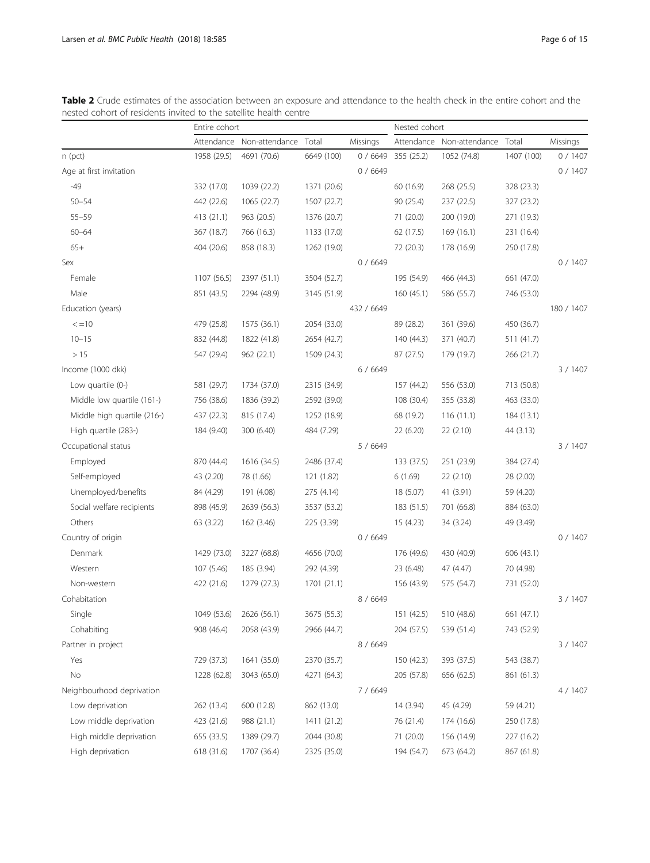|                             | Entire cohort |                                 |             |            | Nested cohort |                           |            |            |  |
|-----------------------------|---------------|---------------------------------|-------------|------------|---------------|---------------------------|------------|------------|--|
|                             |               | Attendance Non-attendance Total |             | Missings   |               | Attendance Non-attendance | Total      | Missings   |  |
| $n$ (pct)                   | 1958 (29.5)   | 4691 (70.6)                     | 6649 (100)  | 0/6649     | 355 (25.2)    | 1052 (74.8)               | 1407 (100) | 0/1407     |  |
| Age at first invitation     |               |                                 |             | 0/6649     |               |                           |            | 0/1407     |  |
| $-49$                       | 332 (17.0)    | 1039 (22.2)                     | 1371 (20.6) |            | 60 (16.9)     | 268 (25.5)                | 328 (23.3) |            |  |
| $50 - 54$                   | 442 (22.6)    | 1065 (22.7)                     | 1507 (22.7) |            | 90 (25.4)     | 237 (22.5)                | 327 (23.2) |            |  |
| $55 - 59$                   | 413 (21.1)    | 963 (20.5)                      | 1376 (20.7) |            | 71 (20.0)     | 200 (19.0)                | 271 (19.3) |            |  |
| $60 - 64$                   | 367 (18.7)    | 766 (16.3)                      | 1133 (17.0) |            | 62 (17.5)     | 169(16.1)                 | 231 (16.4) |            |  |
| $65+$                       | 404 (20.6)    | 858 (18.3)                      | 1262 (19.0) |            | 72 (20.3)     | 178 (16.9)                | 250 (17.8) |            |  |
| Sex                         |               |                                 |             | 0/6649     |               |                           |            | 0/1407     |  |
| Female                      | 1107 (56.5)   | 2397 (51.1)                     | 3504 (52.7) |            | 195 (54.9)    | 466 (44.3)                | 661 (47.0) |            |  |
| Male                        | 851 (43.5)    | 2294 (48.9)                     | 3145 (51.9) |            | 160(45.1)     | 586 (55.7)                | 746 (53.0) |            |  |
| Education (years)           |               |                                 |             | 432 / 6649 |               |                           |            | 180 / 1407 |  |
| $\leq$ = 10                 | 479 (25.8)    | 1575 (36.1)                     | 2054 (33.0) |            | 89 (28.2)     | 361 (39.6)                | 450 (36.7) |            |  |
| $10 - 15$                   | 832 (44.8)    | 1822 (41.8)                     | 2654 (42.7) |            | 140 (44.3)    | 371 (40.7)                | 511 (41.7) |            |  |
| >15                         | 547 (29.4)    | 962 (22.1)                      | 1509 (24.3) |            | 87 (27.5)     | 179 (19.7)                | 266 (21.7) |            |  |
| Income (1000 dkk)           |               |                                 |             | 6/6649     |               |                           |            | 3 / 1407   |  |
| Low quartile (0-)           | 581 (29.7)    | 1734 (37.0)                     | 2315 (34.9) |            | 157 (44.2)    | 556 (53.0)                | 713 (50.8) |            |  |
| Middle low quartile (161-)  | 756 (38.6)    | 1836 (39.2)                     | 2592 (39.0) |            | 108 (30.4)    | 355 (33.8)                | 463 (33.0) |            |  |
| Middle high quartile (216-) | 437 (22.3)    | 815 (17.4)                      | 1252 (18.9) |            | 68 (19.2)     | 116(11.1)                 | 184 (13.1) |            |  |
| High quartile (283-)        | 184 (9.40)    | 300 (6.40)                      | 484 (7.29)  |            | 22 (6.20)     | 22 (2.10)                 | 44 (3.13)  |            |  |
| Occupational status         |               |                                 |             | 5/6649     |               |                           |            | 3/1407     |  |
| Employed                    | 870 (44.4)    | 1616 (34.5)                     | 2486 (37.4) |            | 133 (37.5)    | 251 (23.9)                | 384 (27.4) |            |  |
| Self-employed               | 43 (2.20)     | 78 (1.66)                       | 121 (1.82)  |            | 6(1.69)       | 22 (2.10)                 | 28 (2.00)  |            |  |
| Unemployed/benefits         | 84 (4.29)     | 191 (4.08)                      | 275 (4.14)  |            | 18 (5.07)     | 41 (3.91)                 | 59 (4.20)  |            |  |
| Social welfare recipients   | 898 (45.9)    | 2639 (56.3)                     | 3537 (53.2) |            | 183 (51.5)    | 701 (66.8)                | 884 (63.0) |            |  |
| Others                      | 63 (3.22)     | 162 (3.46)                      | 225 (3.39)  |            | 15 (4.23)     | 34 (3.24)                 | 49 (3.49)  |            |  |
| Country of origin           |               |                                 |             | 0/6649     |               |                           |            | 0/1407     |  |
| Denmark                     | 1429 (73.0)   | 3227 (68.8)                     | 4656 (70.0) |            | 176 (49.6)    | 430 (40.9)                | 606 (43.1) |            |  |
| Western                     | 107 (5.46)    | 185 (3.94)                      | 292 (4.39)  |            | 23 (6.48)     | 47 (4.47)                 | 70 (4.98)  |            |  |
| Non-western                 | 422 (21.6)    | 1279 (27.3)                     | 1701 (21.1) |            | 156 (43.9)    | 575 (54.7)                | 731 (52.0) |            |  |
| Cohabitation                |               |                                 |             | 8 / 6649   |               |                           |            | 3/1407     |  |
| Single                      | 1049 (53.6)   | 2626 (56.1)                     | 3675 (55.3) |            | 151 (42.5)    | 510 (48.6)                | 661 (47.1) |            |  |
| Cohabiting                  | 908 (46.4)    | 2058 (43.9)                     | 2966 (44.7) |            | 204 (57.5)    | 539 (51.4)                | 743 (52.9) |            |  |
| Partner in project          |               |                                 |             | 8 / 6649   |               |                           |            | 3 / 1407   |  |
| Yes                         | 729 (37.3)    | 1641 (35.0)                     | 2370 (35.7) |            | 150 (42.3)    | 393 (37.5)                | 543 (38.7) |            |  |
| No                          | 1228 (62.8)   | 3043 (65.0)                     | 4271 (64.3) |            | 205 (57.8)    | 656 (62.5)                | 861 (61.3) |            |  |
| Neighbourhood deprivation   |               |                                 |             | 7 / 6649   |               |                           |            | 4 / 1407   |  |
| Low deprivation             | 262 (13.4)    | 600 (12.8)                      | 862 (13.0)  |            | 14 (3.94)     | 45 (4.29)                 | 59 (4.21)  |            |  |
| Low middle deprivation      | 423 (21.6)    | 988 (21.1)                      | 1411 (21.2) |            | 76 (21.4)     | 174 (16.6)                | 250 (17.8) |            |  |
| High middle deprivation     | 655 (33.5)    | 1389 (29.7)                     | 2044 (30.8) |            | 71 (20.0)     | 156 (14.9)                | 227 (16.2) |            |  |
| High deprivation            | 618 (31.6)    | 1707 (36.4)                     | 2325 (35.0) |            | 194 (54.7)    | 673 (64.2)                | 867 (61.8) |            |  |

<span id="page-5-0"></span>Table 2 Crude estimates of the association between an exposure and attendance to the health check in the entire cohort and the nested cohort of residents invited to the satellite health centre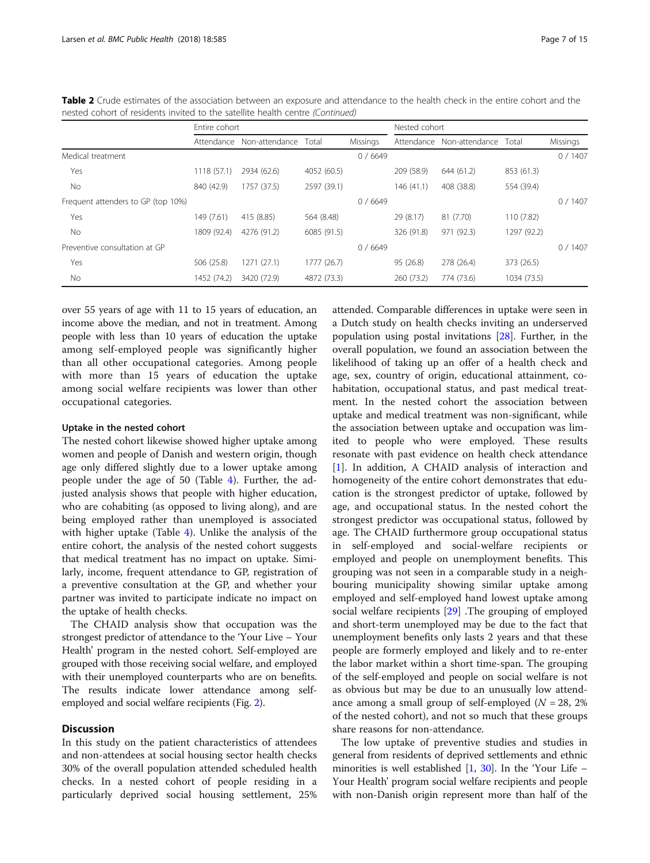|                                    | Entire cohort |                |             |          | Nested cohort |                |             |          |
|------------------------------------|---------------|----------------|-------------|----------|---------------|----------------|-------------|----------|
|                                    | Attendance    | Non-attendance | Total       | Missings | Attendance    | Non-attendance | Total       | Missings |
| Medical treatment                  |               |                |             | 0/6649   |               |                |             | 0/1407   |
| Yes                                | 1118 (57.1)   | 2934 (62.6)    | 4052 (60.5) |          | 209 (58.9)    | 644 (61.2)     | 853 (61.3)  |          |
| No                                 | 840 (42.9)    | 1757 (37.5)    | 2597 (39.1) |          | 146(41.1)     | 408 (38.8)     | 554 (39.4)  |          |
| Frequent attenders to GP (top 10%) |               |                |             | 0/6649   |               |                |             | 0/1407   |
| Yes                                | 149 (7.61)    | 415 (8.85)     | 564 (8.48)  |          | 29 (8.17)     | 81 (7.70)      | 110 (7.82)  |          |
| No.                                | 1809 (92.4)   | 4276 (91.2)    | 6085 (91.5) |          | 326 (91.8)    | 971 (92.3)     | 1297 (92.2) |          |
| Preventive consultation at GP      |               |                |             | 0/6649   |               |                |             | 0/1407   |
| Yes                                | 506 (25.8)    | 1271(27.1)     | 1777 (26.7) |          | 95 (26.8)     | 278 (26.4)     | 373 (26.5)  |          |
| No.                                | 1452 (74.2)   | 3420 (72.9)    | 4872 (73.3) |          | 260 (73.2)    | 774 (73.6)     | 1034 (73.5) |          |

Table 2 Crude estimates of the association between an exposure and attendance to the health check in the entire cohort and the nested cohort of residents invited to the satellite health centre (Continued)

over 55 years of age with 11 to 15 years of education, an income above the median, and not in treatment. Among people with less than 10 years of education the uptake among self-employed people was significantly higher than all other occupational categories. Among people with more than 15 years of education the uptake among social welfare recipients was lower than other occupational categories.

## Uptake in the nested cohort

The nested cohort likewise showed higher uptake among women and people of Danish and western origin, though age only differed slightly due to a lower uptake among people under the age of 50 (Table [4\)](#page-9-0). Further, the adjusted analysis shows that people with higher education, who are cohabiting (as opposed to living along), and are being employed rather than unemployed is associated with higher uptake (Table [4\)](#page-9-0). Unlike the analysis of the entire cohort, the analysis of the nested cohort suggests that medical treatment has no impact on uptake. Similarly, income, frequent attendance to GP, registration of a preventive consultation at the GP, and whether your partner was invited to participate indicate no impact on the uptake of health checks.

The CHAID analysis show that occupation was the strongest predictor of attendance to the 'Your Live – Your Health' program in the nested cohort. Self-employed are grouped with those receiving social welfare, and employed with their unemployed counterparts who are on benefits. The results indicate lower attendance among selfemployed and social welfare recipients (Fig. [2\)](#page-10-0).

## **Discussion**

In this study on the patient characteristics of attendees and non-attendees at social housing sector health checks 30% of the overall population attended scheduled health checks. In a nested cohort of people residing in a particularly deprived social housing settlement, 25%

attended. Comparable differences in uptake were seen in a Dutch study on health checks inviting an underserved population using postal invitations [[28](#page-13-0)]. Further, in the overall population, we found an association between the likelihood of taking up an offer of a health check and age, sex, country of origin, educational attainment, cohabitation, occupational status, and past medical treatment. In the nested cohort the association between uptake and medical treatment was non-significant, while the association between uptake and occupation was limited to people who were employed. These results resonate with past evidence on health check attendance [[1\]](#page-13-0). In addition, A CHAID analysis of interaction and homogeneity of the entire cohort demonstrates that education is the strongest predictor of uptake, followed by age, and occupational status. In the nested cohort the strongest predictor was occupational status, followed by age. The CHAID furthermore group occupational status in self-employed and social-welfare recipients or employed and people on unemployment benefits. This grouping was not seen in a comparable study in a neighbouring municipality showing similar uptake among employed and self-employed hand lowest uptake among social welfare recipients [[29\]](#page-13-0) .The grouping of employed and short-term unemployed may be due to the fact that unemployment benefits only lasts 2 years and that these people are formerly employed and likely and to re-enter the labor market within a short time-span. The grouping of the self-employed and people on social welfare is not as obvious but may be due to an unusually low attendance among a small group of self-employed ( $N = 28$ , 2%) of the nested cohort), and not so much that these groups share reasons for non-attendance.

The low uptake of preventive studies and studies in general from residents of deprived settlements and ethnic minorities is well established  $[1, 30]$  $[1, 30]$  $[1, 30]$  $[1, 30]$  $[1, 30]$ . In the 'Your Life – Your Health' program social welfare recipients and people with non-Danish origin represent more than half of the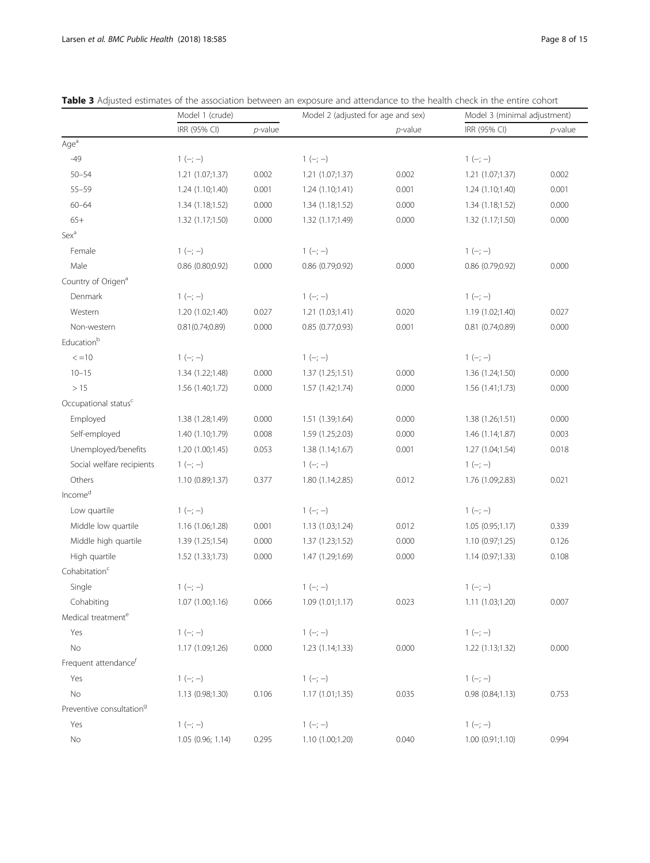|                                      | Model 1 (crude)   |            | Model 2 (adjusted for age and sex) |            | Model 3 (minimal adjustment) |            |
|--------------------------------------|-------------------|------------|------------------------------------|------------|------------------------------|------------|
|                                      | IRR (95% CI)      | $p$ -value |                                    | $p$ -value | IRR (95% CI)                 | $p$ -value |
| Age <sup>a</sup>                     |                   |            |                                    |            |                              |            |
| $-49$                                | $1 (-; -)$        |            | $1 (-; -)$                         |            | $1 (-; -)$                   |            |
| $50 - 54$                            | 1.21 (1.07;1.37)  | 0.002      | 1.21(1.07;1.37)                    | 0.002      | 1.21 (1.07;1.37)             | 0.002      |
| $55 - 59$                            | 1.24 (1.10;1.40)  | 0.001      | 1.24(1.10;1.41)                    | 0.001      | 1.24 (1.10;1.40)             | 0.001      |
| $60 - 64$                            | 1.34(1.18;1.52)   | 0.000      | 1.34(1.18;1.52)                    | 0.000      | 1.34(1.18;1.52)              | 0.000      |
| $65+$                                | 1.32 (1.17;1.50)  | 0.000      | 1.32 (1.17;1.49)                   | 0.000      | 1.32 (1.17;1.50)             | 0.000      |
| Sex <sup>a</sup>                     |                   |            |                                    |            |                              |            |
| Female                               | $1 (-; -)$        |            | $1 (-; -)$                         |            | $1 (-; -)$                   |            |
| Male                                 | 0.86 (0.80;0.92)  | 0.000      | 0.86 (0.79;0.92)                   | 0.000      | 0.86 (0.79;0.92)             | 0.000      |
| Country of Origen <sup>a</sup>       |                   |            |                                    |            |                              |            |
| Denmark                              | $1 (-; -)$        |            | $1 (-; -)$                         |            | $1 (-; -)$                   |            |
| Western                              | 1.20 (1.02;1.40)  | 0.027      | 1.21(1.03;1.41)                    | 0.020      | 1.19 (1.02;1.40)             | 0.027      |
| Non-western                          | 0.81(0.74;0.89)   | 0.000      | 0.85(0.77;0.93)                    | 0.001      | $0.81$ $(0.74;0.89)$         | 0.000      |
| Educationb                           |                   |            |                                    |            |                              |            |
| $\lt = 10$                           | $1 (-; -)$        |            | $1 (-; -)$                         |            | $1 (-; -)$                   |            |
| $10 - 15$                            | 1.34 (1.22;1.48)  | 0.000      | 1.37(1.25;1.51)                    | 0.000      | 1.36 (1.24;1.50)             | 0.000      |
| >15                                  | 1.56 (1.40;1.72)  | 0.000      | 1.57(1.42;1.74)                    | 0.000      | 1.56(1.41;1.73)              | 0.000      |
| Occupational status <sup>c</sup>     |                   |            |                                    |            |                              |            |
| Employed                             | 1.38 (1.28;1.49)  | 0.000      | 1.51 (1.39;1.64)                   | 0.000      | 1.38 (1.26;1.51)             | 0.000      |
| Self-employed                        | 1.40 (1.10;1.79)  | 0.008      | 1.59 (1.25;2.03)                   | 0.000      | 1.46(1.14;1.87)              | 0.003      |
| Unemployed/benefits                  | 1.20 (1.00;1.45)  | 0.053      | 1.38(1.14;1.67)                    | 0.001      | 1.27 (1.04;1.54)             | 0.018      |
| Social welfare recipients            | $1 (-; -)$        |            | $1 (-; -)$                         |            | $1 (-; -)$                   |            |
| Others                               | 1.10(0.89;1.37)   | 0.377      | 1.80 (1.14;2.85)                   | 0.012      | 1.76 (1.09;2.83)             | 0.021      |
| Income <sup>d</sup>                  |                   |            |                                    |            |                              |            |
| Low quartile                         | $1 (-; -)$        |            | $1 (-; -)$                         |            | $1 (-; -)$                   |            |
| Middle low quartile                  | 1.16 (1.06;1.28)  | 0.001      | 1.13 (1.03;1.24)                   | 0.012      | 1.05(0.95;1.17)              | 0.339      |
| Middle high quartile                 | 1.39 (1.25;1.54)  | 0.000      | 1.37(1.23;1.52)                    | 0.000      | 1.10 (0.97;1.25)             | 0.126      |
| High quartile                        | 1.52 (1.33;1.73)  | 0.000      | 1.47 (1.29;1.69)                   | 0.000      | 1.14(0.97;1.33)              | 0.108      |
| Cohabitation <sup>c</sup>            |                   |            |                                    |            |                              |            |
| Single                               | $1 (-; -)$        |            | $1 (-; -)$                         |            | $1 (-; -)$                   |            |
| Cohabiting                           | 1.07 (1.00;1.16)  | 0.066      | 1.09(1.01;1.17)                    | 0.023      | 1.11 (1.03;1.20)             | 0.007      |
| Medical treatment <sup>e</sup>       |                   |            |                                    |            |                              |            |
| Yes                                  | $1 (-; -)$        |            | $1 (-; -)$                         |            | $1 (-; -)$                   |            |
| No                                   | 1.17 (1.09;1.26)  | 0.000      | 1.23(1.14;1.33)                    | 0.000      | 1.22 (1.13;1.32)             | 0.000      |
| Frequent attendance <sup>f</sup>     |                   |            |                                    |            |                              |            |
| Yes                                  | $1 (-; -)$        |            | $1 (-; -)$                         |            | $1 (-; -)$                   |            |
| No                                   | 1.13(0.98;1.30)   | 0.106      | 1.17(1.01;1.35)                    | 0.035      | 0.98(0.84;1.13)              | 0.753      |
| Preventive consultation <sup>9</sup> |                   |            |                                    |            |                              |            |
| Yes                                  | $1 (-; -)$        |            | $1 (-; -)$                         |            | $1 (-; -)$                   |            |
| No                                   | 1.05 (0.96; 1.14) | 0.295      | 1.10 (1.00;1.20)                   | 0.040      | 1.00(0.91;1.10)              | 0.994      |
|                                      |                   |            |                                    |            |                              |            |

<span id="page-7-0"></span>Table 3 Adjusted estimates of the association between an exposure and attendance to the health check in the entire cohort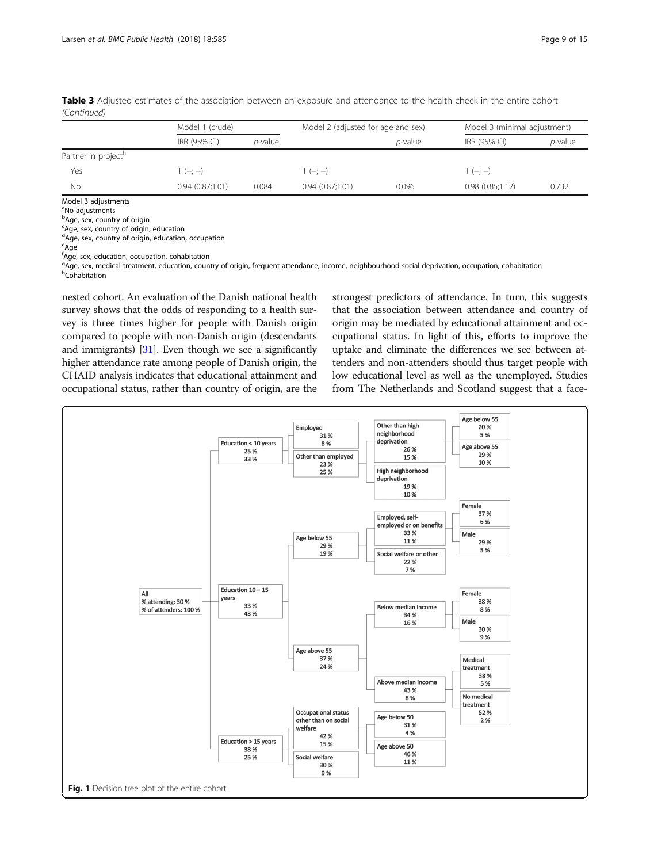| Model 1 (crude) |            |                 | Model 2 (adjusted for age and sex) |                 | Model 3 (minimal adjustment) |  |  |
|-----------------|------------|-----------------|------------------------------------|-----------------|------------------------------|--|--|
| IRR (95% CI)    | $p$ -value |                 | <i>p</i> -value                    | IRR (95% CI)    | $p$ -value                   |  |  |
|                 |            |                 |                                    |                 |                              |  |  |
| $1(-; -)$       |            | $(-; -)$        |                                    | $1(-; -)$       |                              |  |  |
| 0.94(0.87;1.01) | 0.084      | 0.94(0.87;1.01) | 0.096                              | 0.98(0.85;1.12) | 0.732                        |  |  |
|                 |            |                 |                                    |                 |                              |  |  |

<span id="page-8-0"></span>Table 3 Adjusted estimates of the association between an exposure and attendance to the health check in the entire cohort (Continued)

Model 3 adjustments

<sup>a</sup>No adjustments

**b**Age, sex, country of origin

<sup>c</sup>Age, sex, country of origin, education dAge, sex, country of origin, education, occupation

<sup>e</sup>Age f Age, sex, education, occupation, cohabitation

<sup>g</sup>Age, sex, medical treatment, education, country of origin, frequent attendance, income, neighbourhood social deprivation, occupation, cohabitation<br><sup>h</sup>Cohabitation h<sub>Cohabitation</sub>

nested cohort. An evaluation of the Danish national health survey shows that the odds of responding to a health survey is three times higher for people with Danish origin compared to people with non-Danish origin (descendants and immigrants)  $[31]$  $[31]$  $[31]$ . Even though we see a significantly higher attendance rate among people of Danish origin, the CHAID analysis indicates that educational attainment and occupational status, rather than country of origin, are the strongest predictors of attendance. In turn, this suggests that the association between attendance and country of origin may be mediated by educational attainment and occupational status. In light of this, efforts to improve the uptake and eliminate the differences we see between attenders and non-attenders should thus target people with low educational level as well as the unemployed. Studies from The Netherlands and Scotland suggest that a face-

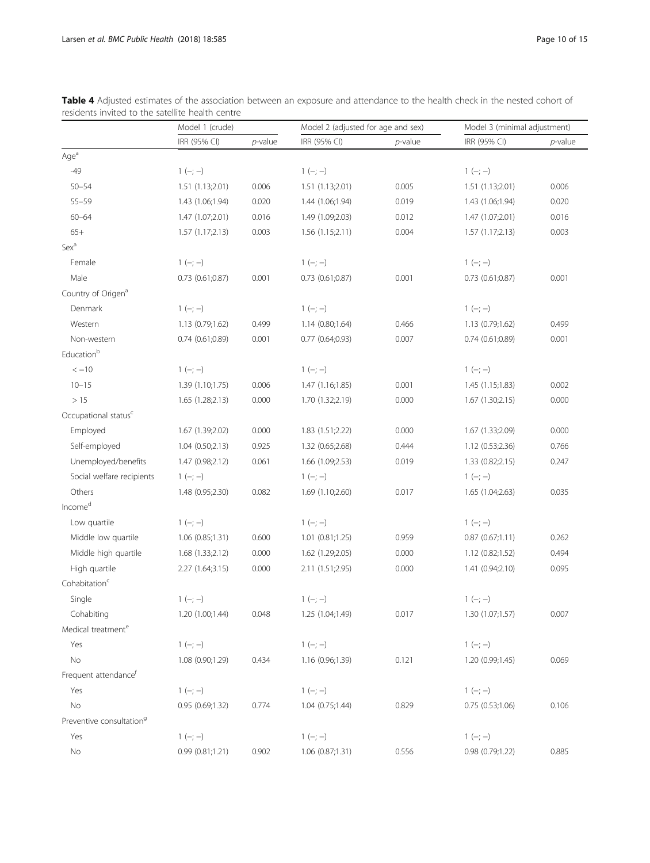|                                      | Model 1 (crude)      |            | Model 2 (adjusted for age and sex) |            | Model 3 (minimal adjustment) |            |
|--------------------------------------|----------------------|------------|------------------------------------|------------|------------------------------|------------|
|                                      | IRR (95% CI)         | $p$ -value | IRR (95% CI)                       | $p$ -value | IRR (95% CI)                 | $p$ -value |
| Age <sup>a</sup>                     |                      |            |                                    |            |                              |            |
| $-49$                                | $1 (-; -)$           |            | $1 (-; -)$                         |            | $1 (-; -)$                   |            |
| $50 - 54$                            | 1.51 (1.13;2.01)     | 0.006      | 1.51 (1.13;2.01)                   | 0.005      | 1.51 (1.13;2.01)             | 0.006      |
| $55 - 59$                            | 1.43 (1.06;1.94)     | 0.020      | 1.44 (1.06;1.94)                   | 0.019      | 1.43 (1.06;1.94)             | 0.020      |
| $60 - 64$                            | 1.47 (1.07;2.01)     | 0.016      | 1.49 (1.09;2.03)                   | 0.012      | 1.47 (1.07;2.01)             | 0.016      |
| $65+$                                | 1.57(1.17;2.13)      | 0.003      | 1.56(1.15;2.11)                    | 0.004      | 1.57(1.17;2.13)              | 0.003      |
| Sex <sup>a</sup>                     |                      |            |                                    |            |                              |            |
| Female                               | $1 (-; -)$           |            | $1 (-; -)$                         |            | $1 (-; -)$                   |            |
| Male                                 | $0.73$ $(0.61;0.87)$ | 0.001      | $0.73$ $(0.61;0.87)$               | 0.001      | 0.73(0.61;0.87)              | 0.001      |
| Country of Origen <sup>a</sup>       |                      |            |                                    |            |                              |            |
| Denmark                              | $1 (-; -)$           |            | $1 (-; -)$                         |            | $1 (-; -)$                   |            |
| Western                              | 1.13 (0.79;1.62)     | 0.499      | 1.14 (0.80;1.64)                   | 0.466      | 1.13 (0.79;1.62)             | 0.499      |
| Non-western                          | 0.74(0.61;0.89)      | 0.001      | $0.77$ $(0.64;0.93)$               | 0.007      | 0.74(0.61;0.89)              | 0.001      |
| Educationb                           |                      |            |                                    |            |                              |            |
| $\lt = 10$                           | $1 (-; -)$           |            | $1 (-; -)$                         |            | $1 (-; -)$                   |            |
| $10 - 15$                            | 1.39 (1.10;1.75)     | 0.006      | 1.47 (1.16;1.85)                   | 0.001      | 1.45(1.15;1.83)              | 0.002      |
| >15                                  | 1.65(1.28;2.13)      | 0.000      | 1.70 (1.32;2.19)                   | 0.000      | 1.67(1.30;2.15)              | 0.000      |
| Occupational status <sup>c</sup>     |                      |            |                                    |            |                              |            |
| Employed                             | 1.67 (1.39;2.02)     | 0.000      | 1.83 (1.51;2.22)                   | 0.000      | 1.67 (1.33;2.09)             | 0.000      |
| Self-employed                        | 1.04(0.50;2.13)      | 0.925      | 1.32 (0.65;2.68)                   | 0.444      | 1.12 (0.53;2.36)             | 0.766      |
| Unemployed/benefits                  | 1.47 (0.98;2.12)     | 0.061      | 1.66 (1.09;2.53)                   | 0.019      | 1.33 (0.82;2.15)             | 0.247      |
| Social welfare recipients            | $1 (-; -)$           |            | $1 (-; -)$                         |            | $1 (-; -)$                   |            |
| Others                               | 1.48 (0.95;2.30)     | 0.082      | 1.69 (1.10;2.60)                   | 0.017      | 1.65 (1.04;2.63)             | 0.035      |
| $\mathsf{Income}^\mathsf{d}$         |                      |            |                                    |            |                              |            |
| Low quartile                         | $1 (-; -)$           |            | $1 (-; -)$                         |            | $1 (-; -)$                   |            |
| Middle low quartile                  | 1.06 (0.85;1.31)     | 0.600      | 1.01 (0.81;1.25)                   | 0.959      | 0.87(0.67;1.11)              | 0.262      |
| Middle high quartile                 | 1.68 (1.33;2.12)     | 0.000      | 1.62 (1.29;2.05)                   | 0.000      | 1.12 (0.82;1.52)             | 0.494      |
| High quartile                        | 2.27 (1.64;3.15)     | 0.000      | 2.11 (1.51;2.95)                   | 0.000      | 1.41 (0.94;2.10)             | 0.095      |
| Cohabitation <sup>c</sup>            |                      |            |                                    |            |                              |            |
| Single                               | $1 (-; -)$           |            | $1 (-; -)$                         |            | $1 (-; -)$                   |            |
| Cohabiting                           | 1.20 (1.00;1.44)     | 0.048      | 1.25 (1.04;1.49)                   | 0.017      | 1.30 (1.07;1.57)             | 0.007      |
| Medical treatment <sup>e</sup>       |                      |            |                                    |            |                              |            |
| Yes                                  | $1 (-; -)$           |            | $1 (-; -)$                         |            | $1 (-; -)$                   |            |
| No                                   | 1.08 (0.90;1.29)     | 0.434      | 1.16 (0.96;1.39)                   | 0.121      | 1.20 (0.99;1.45)             | 0.069      |
| Frequent attendance <sup>f</sup>     |                      |            |                                    |            |                              |            |
| Yes                                  | $1 (-; -)$           |            | $1 (-; -)$                         |            | $1 (-; -)$                   |            |
| No                                   | 0.95 (0.69;1.32)     | 0.774      | 1.04(0.75;1.44)                    | 0.829      | 0.75(0.53;1.06)              | 0.106      |
| Preventive consultation <sup>9</sup> |                      |            |                                    |            |                              |            |
| Yes                                  | $1 (-; -)$           |            | $1 (-; -)$                         |            | $1 (-; -)$                   |            |
| No                                   | 0.99(0.81;1.21)      | 0.902      | 1.06(0.87;1.31)                    | 0.556      | 0.98 (0.79;1.22)             | 0.885      |
|                                      |                      |            |                                    |            |                              |            |

<span id="page-9-0"></span>

| Table 4 Adjusted estimates of the association between an exposure and attendance to the health check in the nested cohort of |  |  |  |  |
|------------------------------------------------------------------------------------------------------------------------------|--|--|--|--|
| residents invited to the satellite health centre                                                                             |  |  |  |  |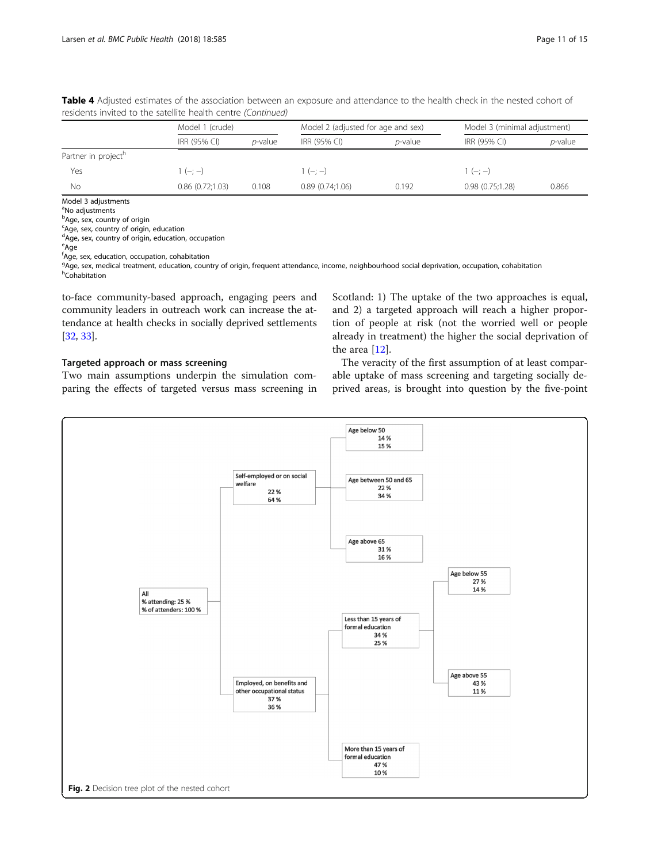|                                 | Model 1 (crude)      |                 |                 | Model 2 (adjusted for age and sex) | Model 3 (minimal adjustment) |            |  |
|---------------------------------|----------------------|-----------------|-----------------|------------------------------------|------------------------------|------------|--|
|                                 | IRR (95% CI)         | <i>p</i> -value | IRR (95% CI)    | $p$ -value                         | IRR (95% CI)                 | $p$ -value |  |
| Partner in project <sup>h</sup> |                      |                 |                 |                                    |                              |            |  |
| Yes                             | $(-; -)$             |                 | $1(-; -)$       |                                    | $1(-; -)$                    |            |  |
| Νo                              | $0.86$ $(0.72;1.03)$ | 0.108           | 0.89(0.74;1.06) | 0.192                              | 0.98(0.75;1.28)              | 0.866      |  |
| .                               |                      |                 |                 |                                    |                              |            |  |

<span id="page-10-0"></span>Table 4 Adjusted estimates of the association between an exposure and attendance to the health check in the nested cohort of residents invited to the satellite health centre (Continued)

Model 3 adjustments

<sup>a</sup>No adjustments

**b**Age, sex, country of origin

<sup>c</sup>Age, sex, country of origin, education dAge, sex, country of origin, education, occupation

<sup>e</sup>Age f Age, sex, education, occupation, cohabitation

<sup>g</sup>Age, sex, medical treatment, education, country of origin, frequent attendance, income, neighbourhood social deprivation, occupation, cohabitation<br><sup>h</sup>Cohabitation h<sub>Cohabitation</sub>

to-face community-based approach, engaging peers and community leaders in outreach work can increase the attendance at health checks in socially deprived settlements [[32](#page-13-0), [33\]](#page-13-0).

# Targeted approach or mass screening

Two main assumptions underpin the simulation comparing the effects of targeted versus mass screening in Scotland: 1) The uptake of the two approaches is equal, and 2) a targeted approach will reach a higher proportion of people at risk (not the worried well or people already in treatment) the higher the social deprivation of the area [[12](#page-13-0)].

The veracity of the first assumption of at least comparable uptake of mass screening and targeting socially deprived areas, is brought into question by the five-point

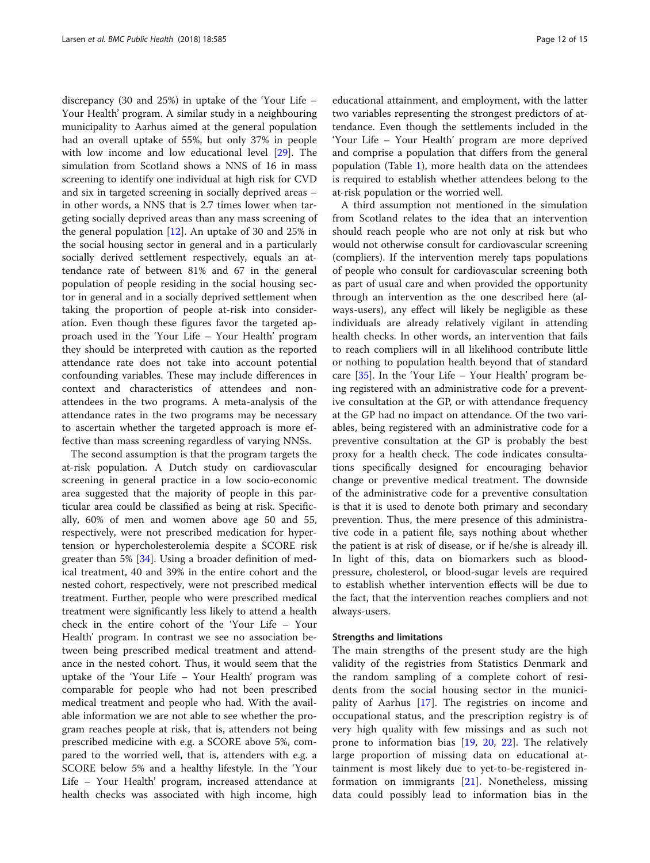discrepancy (30 and 25%) in uptake of the 'Your Life – Your Health' program. A similar study in a neighbouring municipality to Aarhus aimed at the general population had an overall uptake of 55%, but only 37% in people with low income and low educational level [\[29\]](#page-13-0). The simulation from Scotland shows a NNS of 16 in mass screening to identify one individual at high risk for CVD and six in targeted screening in socially deprived areas – in other words, a NNS that is 2.7 times lower when targeting socially deprived areas than any mass screening of the general population [[12\]](#page-13-0). An uptake of 30 and 25% in the social housing sector in general and in a particularly socially derived settlement respectively, equals an attendance rate of between 81% and 67 in the general population of people residing in the social housing sector in general and in a socially deprived settlement when taking the proportion of people at-risk into consideration. Even though these figures favor the targeted approach used in the 'Your Life – Your Health' program they should be interpreted with caution as the reported attendance rate does not take into account potential confounding variables. These may include differences in context and characteristics of attendees and nonattendees in the two programs. A meta-analysis of the attendance rates in the two programs may be necessary to ascertain whether the targeted approach is more effective than mass screening regardless of varying NNSs.

The second assumption is that the program targets the at-risk population. A Dutch study on cardiovascular screening in general practice in a low socio-economic area suggested that the majority of people in this particular area could be classified as being at risk. Specifically, 60% of men and women above age 50 and 55, respectively, were not prescribed medication for hypertension or hypercholesterolemia despite a SCORE risk greater than 5% [[34\]](#page-13-0). Using a broader definition of medical treatment, 40 and 39% in the entire cohort and the nested cohort, respectively, were not prescribed medical treatment. Further, people who were prescribed medical treatment were significantly less likely to attend a health check in the entire cohort of the 'Your Life – Your Health' program. In contrast we see no association between being prescribed medical treatment and attendance in the nested cohort. Thus, it would seem that the uptake of the 'Your Life – Your Health' program was comparable for people who had not been prescribed medical treatment and people who had. With the available information we are not able to see whether the program reaches people at risk, that is, attenders not being prescribed medicine with e.g. a SCORE above 5%, compared to the worried well, that is, attenders with e.g. a SCORE below 5% and a healthy lifestyle. In the 'Your Life – Your Health' program, increased attendance at health checks was associated with high income, high educational attainment, and employment, with the latter two variables representing the strongest predictors of attendance. Even though the settlements included in the 'Your Life – Your Health' program are more deprived and comprise a population that differs from the general population (Table [1](#page-2-0)), more health data on the attendees is required to establish whether attendees belong to the at-risk population or the worried well.

A third assumption not mentioned in the simulation from Scotland relates to the idea that an intervention should reach people who are not only at risk but who would not otherwise consult for cardiovascular screening (compliers). If the intervention merely taps populations of people who consult for cardiovascular screening both as part of usual care and when provided the opportunity through an intervention as the one described here (always-users), any effect will likely be negligible as these individuals are already relatively vigilant in attending health checks. In other words, an intervention that fails to reach compliers will in all likelihood contribute little or nothing to population health beyond that of standard care  $[35]$  $[35]$ . In the 'Your Life – Your Health' program being registered with an administrative code for a preventive consultation at the GP, or with attendance frequency at the GP had no impact on attendance. Of the two variables, being registered with an administrative code for a preventive consultation at the GP is probably the best proxy for a health check. The code indicates consultations specifically designed for encouraging behavior change or preventive medical treatment. The downside of the administrative code for a preventive consultation is that it is used to denote both primary and secondary prevention. Thus, the mere presence of this administrative code in a patient file, says nothing about whether the patient is at risk of disease, or if he/she is already ill. In light of this, data on biomarkers such as bloodpressure, cholesterol, or blood-sugar levels are required to establish whether intervention effects will be due to the fact, that the intervention reaches compliers and not always-users.

## Strengths and limitations

The main strengths of the present study are the high validity of the registries from Statistics Denmark and the random sampling of a complete cohort of residents from the social housing sector in the municipality of Aarhus [\[17](#page-13-0)]. The registries on income and occupational status, and the prescription registry is of very high quality with few missings and as such not prone to information bias [[19,](#page-13-0) [20,](#page-13-0) [22\]](#page-13-0). The relatively large proportion of missing data on educational attainment is most likely due to yet-to-be-registered information on immigrants [[21](#page-13-0)]. Nonetheless, missing data could possibly lead to information bias in the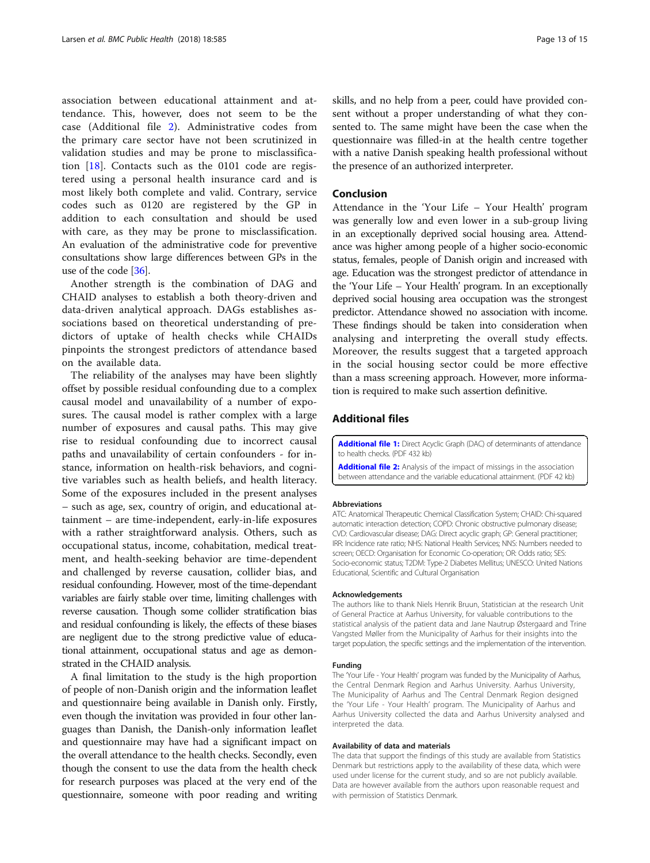<span id="page-12-0"></span>association between educational attainment and attendance. This, however, does not seem to be the case (Additional file 2). Administrative codes from the primary care sector have not been scrutinized in validation studies and may be prone to misclassification [[18\]](#page-13-0). Contacts such as the 0101 code are registered using a personal health insurance card and is most likely both complete and valid. Contrary, service codes such as 0120 are registered by the GP in addition to each consultation and should be used with care, as they may be prone to misclassification. An evaluation of the administrative code for preventive consultations show large differences between GPs in the use of the code [[36](#page-14-0)].

Another strength is the combination of DAG and CHAID analyses to establish a both theory-driven and data-driven analytical approach. DAGs establishes associations based on theoretical understanding of predictors of uptake of health checks while CHAIDs pinpoints the strongest predictors of attendance based on the available data.

The reliability of the analyses may have been slightly offset by possible residual confounding due to a complex causal model and unavailability of a number of exposures. The causal model is rather complex with a large number of exposures and causal paths. This may give rise to residual confounding due to incorrect causal paths and unavailability of certain confounders - for instance, information on health-risk behaviors, and cognitive variables such as health beliefs, and health literacy. Some of the exposures included in the present analyses – such as age, sex, country of origin, and educational attainment – are time-independent, early-in-life exposures with a rather straightforward analysis. Others, such as occupational status, income, cohabitation, medical treatment, and health-seeking behavior are time-dependent and challenged by reverse causation, collider bias, and residual confounding. However, most of the time-dependant variables are fairly stable over time, limiting challenges with reverse causation. Though some collider stratification bias and residual confounding is likely, the effects of these biases are negligent due to the strong predictive value of educational attainment, occupational status and age as demonstrated in the CHAID analysis.

A final limitation to the study is the high proportion of people of non-Danish origin and the information leaflet and questionnaire being available in Danish only. Firstly, even though the invitation was provided in four other languages than Danish, the Danish-only information leaflet and questionnaire may have had a significant impact on the overall attendance to the health checks. Secondly, even though the consent to use the data from the health check for research purposes was placed at the very end of the questionnaire, someone with poor reading and writing skills, and no help from a peer, could have provided consent without a proper understanding of what they consented to. The same might have been the case when the questionnaire was filled-in at the health centre together with a native Danish speaking health professional without the presence of an authorized interpreter.

## Conclusion

Attendance in the 'Your Life – Your Health' program was generally low and even lower in a sub-group living in an exceptionally deprived social housing area. Attendance was higher among people of a higher socio-economic status, females, people of Danish origin and increased with age. Education was the strongest predictor of attendance in the 'Your Life – Your Health' program. In an exceptionally deprived social housing area occupation was the strongest predictor. Attendance showed no association with income. These findings should be taken into consideration when analysing and interpreting the overall study effects. Moreover, the results suggest that a targeted approach in the social housing sector could be more effective than a mass screening approach. However, more information is required to make such assertion definitive.

# Additional files

[Additional file 1:](https://doi.org/10.1186/s12889-018-5506-6) Direct Acyclic Graph (DAC) of determinants of attendance to health checks. (PDF 432 kb)

[Additional file 2:](https://doi.org/10.1186/s12889-018-5506-6) Analysis of the impact of missings in the association between attendance and the variable educational attainment. (PDF 42 kb)

#### Abbreviations

ATC: Anatomical Therapeutic Chemical Classification System; CHAID: Chi-squared automatic interaction detection; COPD: Chronic obstructive pulmonary disease; CVD: Cardiovascular disease; DAG: Direct acyclic graph; GP: General practitioner; IRR: Incidence rate ratio; NHS: National Health Services; NNS: Numbers needed to screen; OECD: Organisation for Economic Co-operation; OR: Odds ratio; SES: Socio-economic status; T2DM: Type-2 Diabetes Mellitus; UNESCO: United Nations Educational, Scientific and Cultural Organisation

#### Acknowledgements

The authors like to thank Niels Henrik Bruun, Statistician at the research Unit of General Practice at Aarhus University, for valuable contributions to the statistical analysis of the patient data and Jane Nautrup Østergaard and Trine Vangsted Møller from the Municipality of Aarhus for their insights into the target population, the specific settings and the implementation of the intervention.

#### Funding

The 'Your Life - Your Health' program was funded by the Municipality of Aarhus, the Central Denmark Region and Aarhus University. Aarhus University, The Municipality of Aarhus and The Central Denmark Region designed the 'Your Life - Your Health' program. The Municipality of Aarhus and Aarhus University collected the data and Aarhus University analysed and interpreted the data.

#### Availability of data and materials

The data that support the findings of this study are available from Statistics Denmark but restrictions apply to the availability of these data, which were used under license for the current study, and so are not publicly available. Data are however available from the authors upon reasonable request and with permission of Statistics Denmark.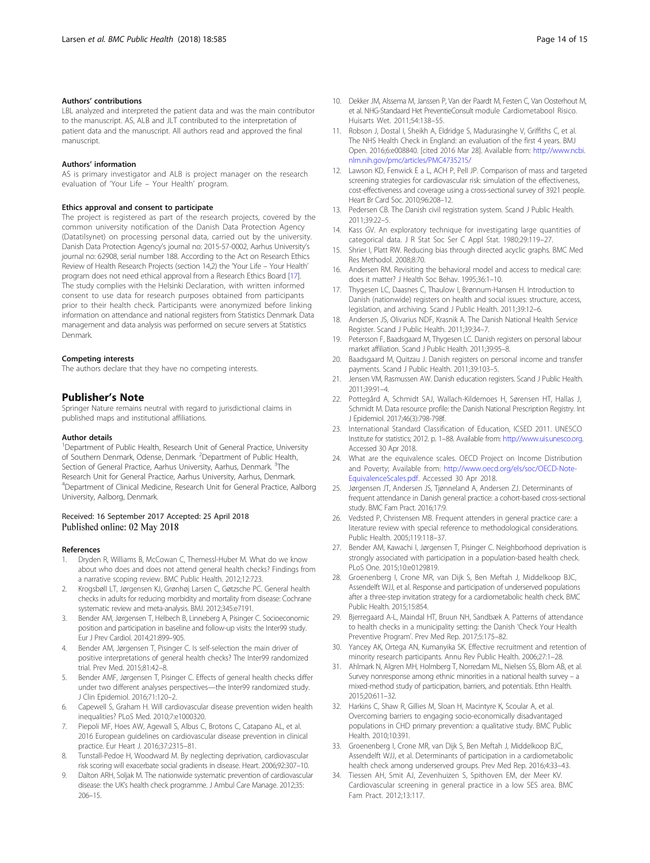## <span id="page-13-0"></span>Authors' contributions

LBL analyzed and interpreted the patient data and was the main contributor to the manuscript. AS, ALB and JLT contributed to the interpretation of patient data and the manuscript. All authors read and approved the final manuscript.

#### Authors' information

AS is primary investigator and ALB is project manager on the research evaluation of 'Your Life – Your Health' program.

## Ethics approval and consent to participate

The project is registered as part of the research projects, covered by the common university notification of the Danish Data Protection Agency (Datatilsynet) on processing personal data, carried out by the university. Danish Data Protection Agency's journal no: 2015-57-0002, Aarhus University's journal no: 62908, serial number 188. According to the Act on Research Ethics Review of Health Research Projects (section 14,2) the 'Your Life – Your Health' program does not need ethical approval from a Research Ethics Board [17]. The study complies with the Helsinki Declaration, with written informed consent to use data for research purposes obtained from participants prior to their health check. Participants were anonymized before linking information on attendance and national registers from Statistics Denmark. Data management and data analysis was performed on secure servers at Statistics Denmark.

#### Competing interests

The authors declare that they have no competing interests.

## Publisher's Note

Springer Nature remains neutral with regard to jurisdictional claims in published maps and institutional affiliations.

#### Author details

<sup>1</sup>Department of Public Health, Research Unit of General Practice, University of Southern Denmark, Odense, Denmark. <sup>2</sup>Department of Public Health, Section of General Practice, Aarhus University, Aarhus, Denmark. <sup>3</sup>The Research Unit for General Practice, Aarhus University, Aarhus, Denmark. 4 Department of Clinical Medicine, Research Unit for General Practice, Aalborg University, Aalborg, Denmark.

## Received: 16 September 2017 Accepted: 25 April 2018 Published online: 02 May 2018

#### References

- 1. Dryden R, Williams B, McCowan C, Themessl-Huber M. What do we know about who does and does not attend general health checks? Findings from a narrative scoping review. BMC Public Health. 2012;12:723.
- 2. Krogsbøll LT, Jørgensen KJ, Grønhøj Larsen C, Gøtzsche PC. General health checks in adults for reducing morbidity and mortality from disease: Cochrane systematic review and meta-analysis. BMJ. 2012;345:e7191.
- 3. Bender AM, Jørgensen T, Helbech B, Linneberg A, Pisinger C. Socioeconomic position and participation in baseline and follow-up visits: the Inter99 study. Eur J Prev Cardiol. 2014;21:899–905.
- 4. Bender AM, Jørgensen T, Pisinger C. Is self-selection the main driver of positive interpretations of general health checks? The Inter99 randomized trial. Prev Med. 2015;81:42–8.
- 5. Bender AMF, Jørgensen T, Pisinger C. Effects of general health checks differ under two different analyses perspectives—the Inter99 randomized study. J Clin Epidemiol. 2016;71:120–2.
- 6. Capewell S, Graham H. Will cardiovascular disease prevention widen health inequalities? PLoS Med. 2010;7:e1000320.
- 7. Piepoli MF, Hoes AW, Agewall S, Albus C, Brotons C, Catapano AL, et al. 2016 European guidelines on cardiovascular disease prevention in clinical practice. Eur Heart J. 2016;37:2315–81.
- Tunstall-Pedoe H, Woodward M. By neglecting deprivation, cardiovascular risk scoring will exacerbate social gradients in disease. Heart. 2006;92:307–10.
- Dalton ARH, Soljak M. The nationwide systematic prevention of cardiovascular disease: the UK's health check programme. J Ambul Care Manage. 2012;35: 206–15.
- 10. Dekker JM, Alssema M, Janssen P, Van der Paardt M, Festen C, Van Oosterhout M, et al. NHG-Standaard Het PreventieConsult module Cardiometabool Risico. Huisarts Wet. 2011;54:138–55.
- 11. Robson J, Dostal I, Sheikh A, Eldridge S, Madurasinghe V, Griffiths C, et al. The NHS Health Check in England: an evaluation of the first 4 years. BMJ Open. 2016;6:e008840. [cited 2016 Mar 28]. Available from: [http://www.ncbi.](http://www.ncbi.nlm.nih.gov/pmc/articles/PMC4735215/) [nlm.nih.gov/pmc/articles/PMC4735215/](http://www.ncbi.nlm.nih.gov/pmc/articles/PMC4735215/)
- 12. Lawson KD, Fenwick E a L, ACH P, Pell JP. Comparison of mass and targeted screening strategies for cardiovascular risk: simulation of the effectiveness, cost-effectiveness and coverage using a cross-sectional survey of 3921 people. Heart Br Card Soc. 2010;96:208–12.
- 13. Pedersen CB. The Danish civil registration system. Scand J Public Health. 2011;39:22–5.
- 14. Kass GV. An exploratory technique for investigating large quantities of categorical data. J R Stat Soc Ser C Appl Stat. 1980;29:119–27.
- 15. Shrier I, Platt RW. Reducing bias through directed acyclic graphs. BMC Med Res Methodol. 2008;8:70.
- 16. Andersen RM. Revisiting the behavioral model and access to medical care: does it matter? J Health Soc Behav. 1995;36:1–10.
- 17. Thygesen LC, Daasnes C, Thaulow I, Brønnum-Hansen H. Introduction to Danish (nationwide) registers on health and social issues: structure, access, legislation, and archiving. Scand J Public Health. 2011;39:12–6.
- 18. Andersen JS, Olivarius NDF, Krasnik A. The Danish National Health Service Register. Scand J Public Health. 2011;39:34–7.
- Petersson F, Baadsgaard M, Thygesen LC. Danish registers on personal labour market affiliation. Scand J Public Health. 2011;39:95–8.
- 20. Baadsgaard M, Quitzau J. Danish registers on personal income and transfer payments. Scand J Public Health. 2011;39:103–5.
- 21. Jensen VM, Rasmussen AW. Danish education registers. Scand J Public Health. 2011;39:91–4.
- 22. Pottegård A, Schmidt SAJ, Wallach-Kildemoes H, Sørensen HT, Hallas J, Schmidt M. Data resource profile: the Danish National Prescription Registry. Int J Epidemiol. 2017;46(3):798-798f.
- 23. International Standard Classification of Education, ICSED 2011. UNESCO Institute for statistics; 2012. p. 1–88. Available from: [http://www.uis.unesco.org.](http://www.uis.unesco.org) Accessed 30 Apr 2018.
- 24. What are the equivalence scales. OECD Project on Income Distribution and Poverty; Available from: [http://www.oecd.org/els/soc/OECD-Note-](http://www.oecd.org/els/soc/OECD-Note-EquivalenceScales.pdf)[EquivalenceScales.pdf](http://www.oecd.org/els/soc/OECD-Note-EquivalenceScales.pdf). Accessed 30 Apr 2018.
- 25. Jørgensen JT, Andersen JS, Tjønneland A, Andersen ZJ. Determinants of frequent attendance in Danish general practice: a cohort-based cross-sectional study. BMC Fam Pract. 2016;17:9.
- 26. Vedsted P, Christensen MB. Frequent attenders in general practice care: a literature review with special reference to methodological considerations. Public Health. 2005;119:118–37.
- 27. Bender AM, Kawachi I, Jørgensen T, Pisinger C. Neighborhood deprivation is strongly associated with participation in a population-based health check. PLoS One. 2015;10:e0129819.
- 28. Groenenberg I, Crone MR, van Dijk S, Ben Meftah J, Middelkoop BJC, Assendelft WJJ, et al. Response and participation of underserved populations after a three-step invitation strategy for a cardiometabolic health check. BMC Public Health. 2015;15:854.
- 29. Bjerregaard A-L, Maindal HT, Bruun NH, Sandbæk A. Patterns of attendance to health checks in a municipality setting: the Danish 'Check Your Health Preventive Program'. Prev Med Rep. 2017;5:175–82.
- 30. Yancey AK, Ortega AN, Kumanyika SK. Effective recruitment and retention of minority research participants. Annu Rev Public Health. 2006;27:1–28.
- 31. Ahlmark N, Algren MH, Holmberg T, Norredam ML, Nielsen SS, Blom AB, et al. Survey nonresponse among ethnic minorities in a national health survey – a mixed-method study of participation, barriers, and potentials. Ethn Health. 2015;20:611–32.
- 32. Harkins C, Shaw R, Gillies M, Sloan H, Macintyre K, Scoular A, et al. Overcoming barriers to engaging socio-economically disadvantaged populations in CHD primary prevention: a qualitative study. BMC Public Health. 2010;10:391.
- 33. Groenenberg I, Crone MR, van Dijk S, Ben Meftah J, Middelkoop BJC, Assendelft WJJ, et al. Determinants of participation in a cardiometabolic health check among underserved groups. Prev Med Rep. 2016;4:33–43.
- 34. Tiessen AH, Smit AJ, Zevenhuizen S, Spithoven EM, der Meer KV. Cardiovascular screening in general practice in a low SES area. BMC Fam Pract. 2012;13:117.